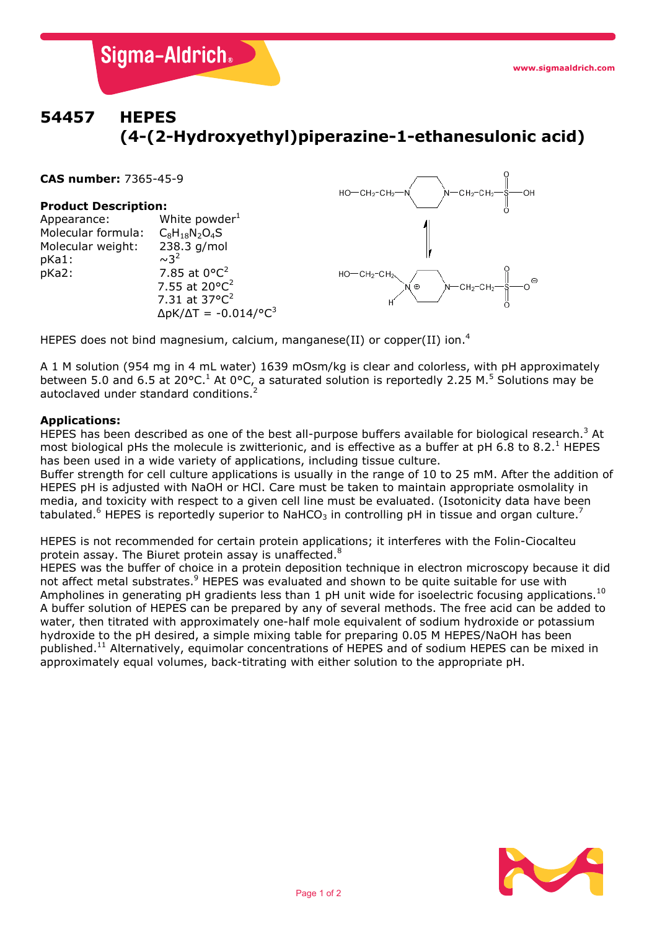# **54457 HEPES (4-(2-Hydroxyethyl)piperazine-1-ethanesulonic acid)**

**CAS number:** 7365-45-9

## **Product Description:**

Appearance: White powder<sup>1</sup><br>Molecular formula:  $C_8H_{18}N_2O_4S$ Molecular formula:  $C_8H_{18}N_2O_4S$ <br>Molecular weight: 238.3 g/mol Molecular weight: 238<br>pKa1:  $\sim$ 3<sup>2</sup>  $p$ Ka1:  $p$ Ka2: 7.85 at  $0^{\circ}C^2$ 7.55 at 20°C<sup>2</sup> 7.31 at  $37^{\circ}C^2$  $ΔpK/ΔT = -0.014/°C<sup>3</sup>$ 

**Sigma-Aldrich**®



HEPES does not bind magnesium, calcium, manganese(II) or copper(II) ion.<sup>4</sup>

A 1 M solution (954 mg in 4 mL water) 1639 mOsm/kg is clear and colorless, with pH approximately between 5.0 and 6.5 at 20°C.<sup>1</sup> At 0°C, a saturated solution is reportedly 2.25 M.<sup>5</sup> Solutions may be autoclaved under standard conditions.

## **Applications:**

HEPES has been described as one of the best all-purpose buffers available for biological research.<sup>3</sup> At most biological pHs the molecule is zwitterionic, and is effective as a buffer at pH 6.8 to 8.2.<sup>1</sup> HEPES has been used in a wide variety of applications, including tissue culture.

Buffer strength for cell culture applications is usually in the range of 10 to 25 mM. After the addition of HEPES pH is adjusted with NaOH or HCl. Care must be taken to maintain appropriate osmolality in media, and toxicity with respect to a given cell line must be evaluated. (Isotonicity data have been tabulated.<sup>6</sup> HEPES is reportedly superior to NaHCO<sub>3</sub> in controlling pH in tissue and organ culture.<sup>7</sup>

HEPES is not recommended for certain protein applications; it interferes with the Folin-Ciocalteu protein assay. The Biuret protein assay is unaffected.<sup>8</sup>

HEPES was the buffer of choice in a protein deposition technique in electron microscopy because it did not affect metal substrates.<sup>9</sup> HEPES was evaluated and shown to be quite suitable for use with Ampholines in generating pH gradients less than 1 pH unit wide for isoelectric focusing applications.<sup>10</sup> A buffer solution of HEPES can be prepared by any of several methods. The free acid can be added to water, then titrated with approximately one-half mole equivalent of sodium hydroxide or potassium hydroxide to the pH desired, a simple mixing table for preparing 0.05 M HEPES/NaOH has been published.11 Alternatively, equimolar concentrations of HEPES and of sodium HEPES can be mixed in approximately equal volumes, back-titrating with either solution to the appropriate pH.